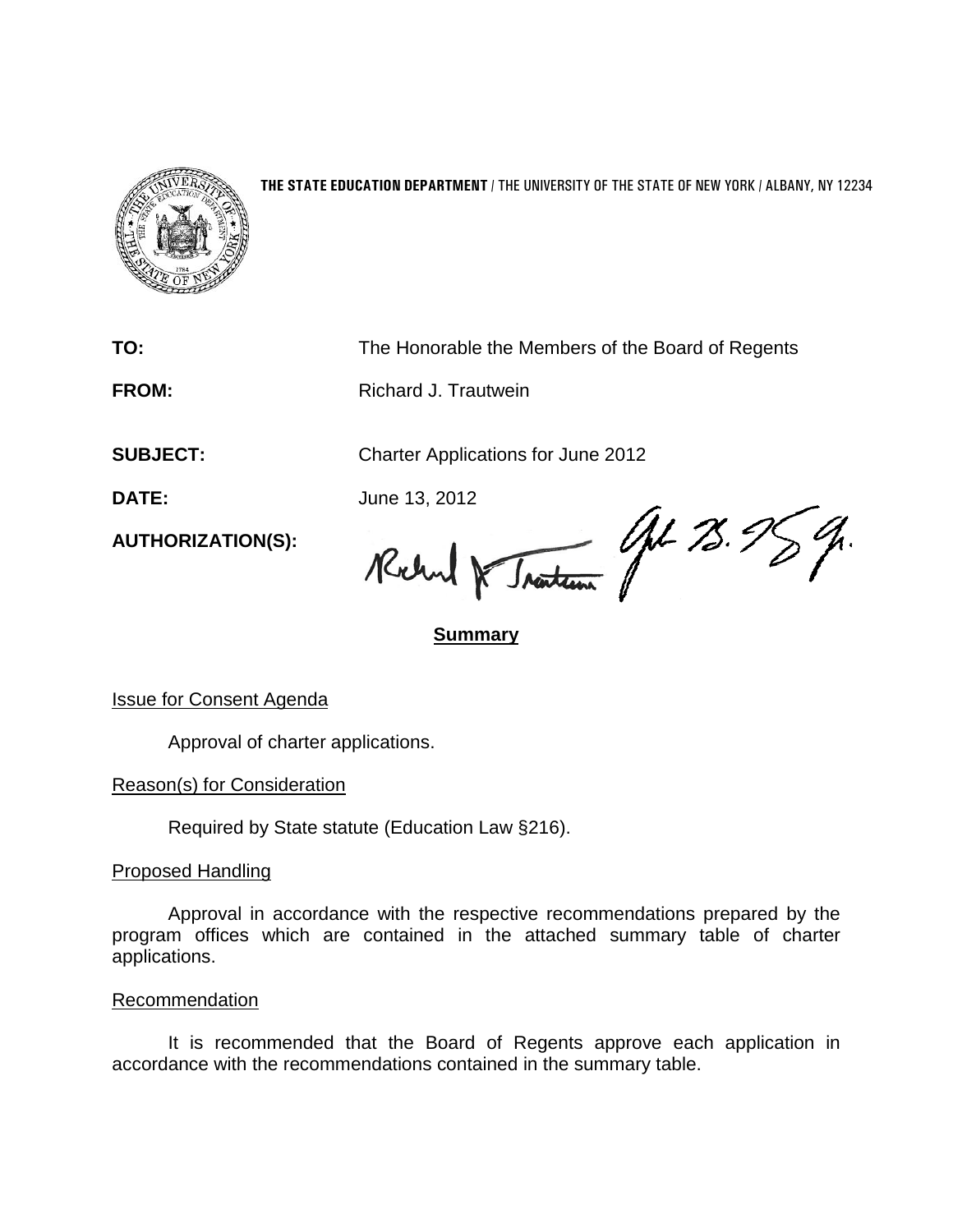

## **THE STATE EDUCATION DEPARTMENT** / THE UNIVERSITY OF THE STATE OF NEW YORK / ALBANY, NY 12234

**TO:** The Honorable the Members of the Board of Regents

**FROM:** Richard J. Trautwein

**SUBJECT:** Charter Applications for June 2012

**AUTHORIZATION(S):**

DATE: June 13, 2012<br>AUTHORIZATION(S): Reclama Reclama 10 12.95 %.

## **Summary**

Issue for Consent Agenda

Approval of charter applications.

Reason(s) for Consideration

Required by State statute (Education Law §216).

Proposed Handling

Approval in accordance with the respective recommendations prepared by the program offices which are contained in the attached summary table of charter applications.

Recommendation

It is recommended that the Board of Regents approve each application in accordance with the recommendations contained in the summary table.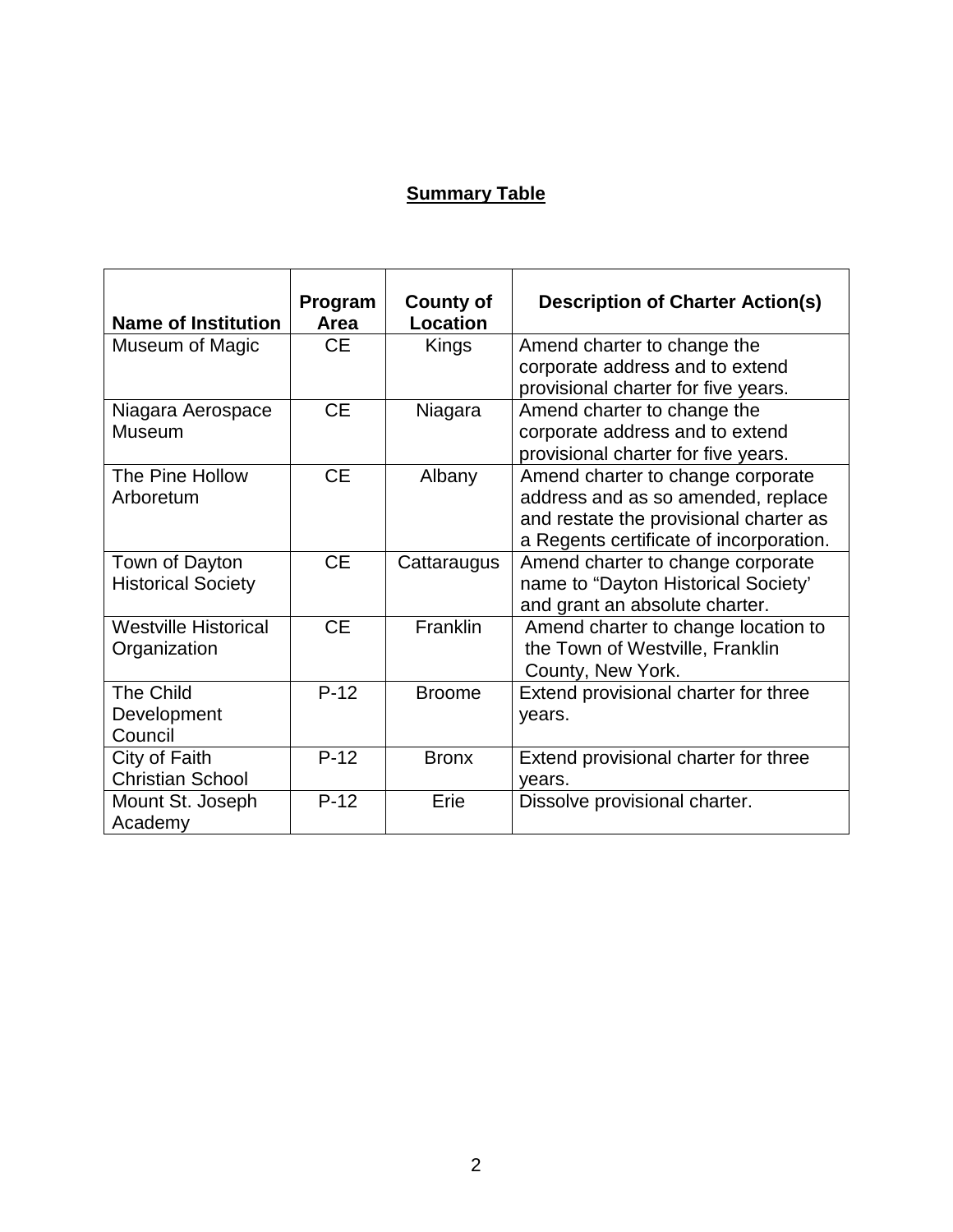## **Summary Table**

| <b>Name of Institution</b>  | Program<br>Area | <b>County of</b><br>Location | <b>Description of Charter Action(s)</b>                                      |
|-----------------------------|-----------------|------------------------------|------------------------------------------------------------------------------|
| Museum of Magic             | <b>CE</b>       | Kings                        | Amend charter to change the                                                  |
|                             |                 |                              | corporate address and to extend<br>provisional charter for five years.       |
| Niagara Aerospace           | <b>CE</b>       | Niagara                      | Amend charter to change the                                                  |
| Museum                      |                 |                              | corporate address and to extend<br>provisional charter for five years.       |
| The Pine Hollow             | <b>CE</b>       | Albany                       | Amend charter to change corporate                                            |
| Arboretum                   |                 |                              | address and as so amended, replace<br>and restate the provisional charter as |
|                             |                 |                              | a Regents certificate of incorporation.                                      |
| Town of Dayton              | <b>CE</b>       | Cattaraugus                  | Amend charter to change corporate                                            |
| <b>Historical Society</b>   |                 |                              | name to "Dayton Historical Society'<br>and grant an absolute charter.        |
| <b>Westville Historical</b> | <b>CE</b>       | Franklin                     | Amend charter to change location to                                          |
| Organization                |                 |                              | the Town of Westville, Franklin<br>County, New York.                         |
| The Child                   | $P-12$          | <b>Broome</b>                | Extend provisional charter for three                                         |
| Development<br>Council      |                 |                              | years.                                                                       |
| City of Faith               | $P-12$          | <b>Bronx</b>                 | Extend provisional charter for three                                         |
| <b>Christian School</b>     |                 |                              | years.                                                                       |
| Mount St. Joseph            | $P-12$          | Erie                         | Dissolve provisional charter.                                                |
| Academy                     |                 |                              |                                                                              |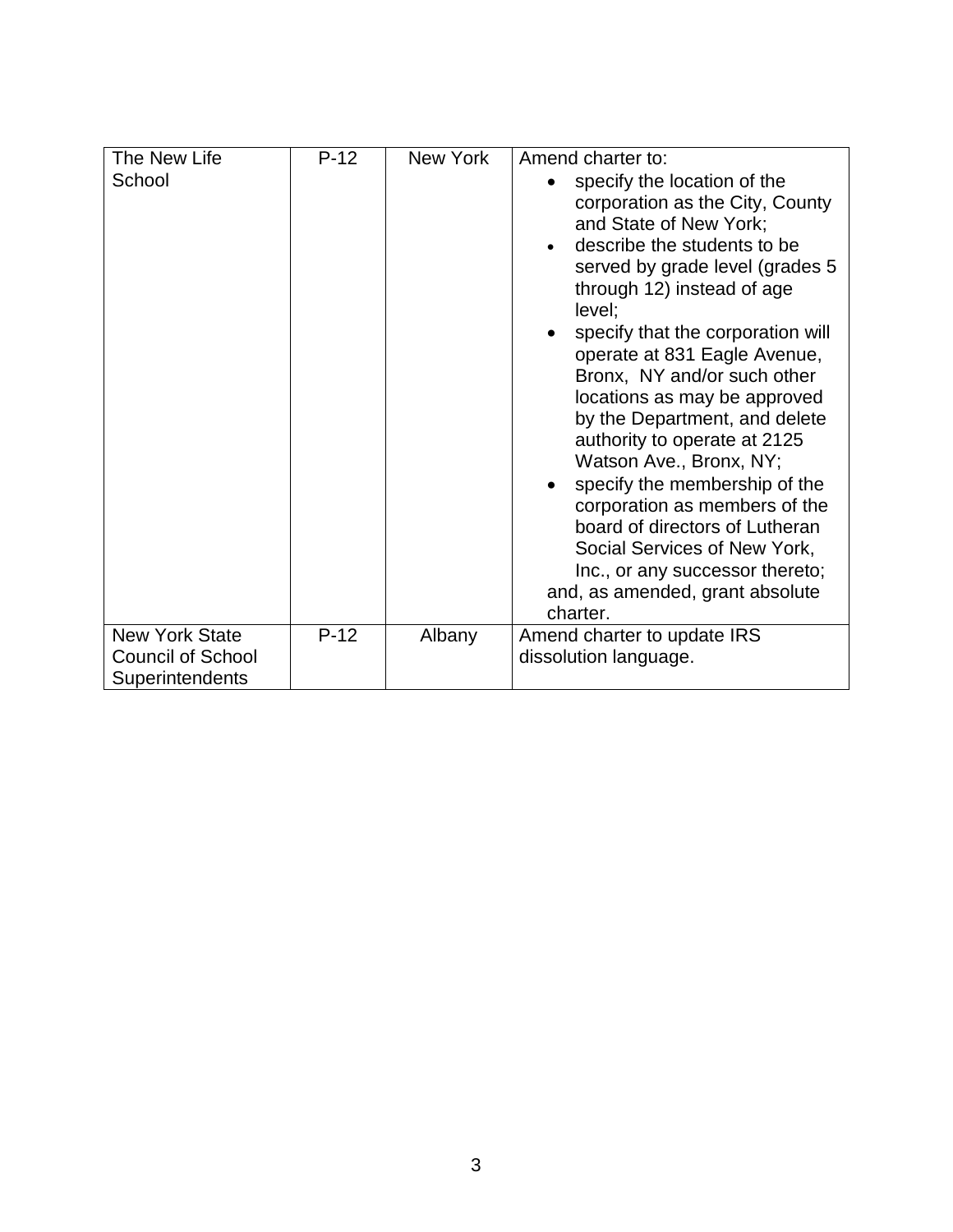| The New Life                                      | $P-12$ | New York | Amend charter to:                                                                                                                                                                                                                                                                                                                                                                                                                                                                                                                                                                                                                                        |
|---------------------------------------------------|--------|----------|----------------------------------------------------------------------------------------------------------------------------------------------------------------------------------------------------------------------------------------------------------------------------------------------------------------------------------------------------------------------------------------------------------------------------------------------------------------------------------------------------------------------------------------------------------------------------------------------------------------------------------------------------------|
| School                                            |        |          | specify the location of the<br>corporation as the City, County<br>and State of New York;<br>describe the students to be<br>served by grade level (grades 5<br>through 12) instead of age<br>level;<br>specify that the corporation will<br>operate at 831 Eagle Avenue,<br>Bronx, NY and/or such other<br>locations as may be approved<br>by the Department, and delete<br>authority to operate at 2125<br>Watson Ave., Bronx, NY;<br>specify the membership of the<br>corporation as members of the<br>board of directors of Lutheran<br>Social Services of New York,<br>Inc., or any successor thereto;<br>and, as amended, grant absolute<br>charter. |
| <b>New York State</b><br><b>Council of School</b> | $P-12$ | Albany   | Amend charter to update IRS<br>dissolution language.                                                                                                                                                                                                                                                                                                                                                                                                                                                                                                                                                                                                     |
| Superintendents                                   |        |          |                                                                                                                                                                                                                                                                                                                                                                                                                                                                                                                                                                                                                                                          |